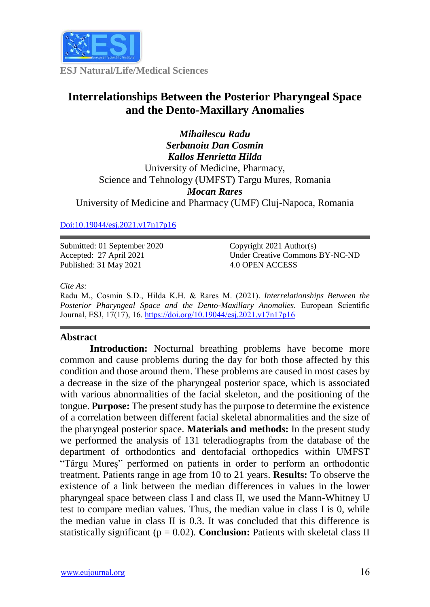

**ESJ Natural/Life/Medical Sciences**

# **Interrelationships Between the Posterior Pharyngeal Space and the Dento-Maxillary Anomalies**

*Mihailescu Radu Serbanoiu Dan Cosmin Kallos Henrietta Hilda* University of Medicine, Pharmacy, Science and Tehnology (UMFST) Targu Mures, Romania *Mocan Rares* University of Medicine and Pharmacy (UMF) Cluj-Napoca, Romania

# [Doi:10.19044/esj.2021.v17n17p16](https://doi.org/10.19044/esj.2021.v17n17p16)

Submitted: 01 September 2020 Accepted: 27 April 2021 Published: 31 May 2021

Copyright 2021 Author(s) Under Creative Commons BY-NC-ND 4.0 OPEN ACCESS

#### *Cite As:*

Radu M., Cosmin S.D., Hilda K.H. & Rares M. (2021). *Interrelationships Between the Posterior Pharyngeal Space and the Dento-Maxillary Anomalies.* European Scientific Journal, ESJ, 17(17), 16. <https://doi.org/10.19044/esj.2021.v17n17p16>

## **Abstract**

**Introduction:** Nocturnal breathing problems have become more common and cause problems during the day for both those affected by this condition and those around them. These problems are caused in most cases by a decrease in the size of the pharyngeal posterior space, which is associated with various abnormalities of the facial skeleton, and the positioning of the tongue. **Purpose:** The present study has the purpose to determine the existence of a correlation between different facial skeletal abnormalities and the size of the pharyngeal posterior space. **Materials and methods:** In the present study we performed the analysis of 131 teleradiographs from the database of the department of orthodontics and dentofacial orthopedics within UMFST "Târgu Mureș" performed on patients in order to perform an orthodontic treatment. Patients range in age from 10 to 21 years. **Results:** To observe the existence of a link between the median differences in values in the lower pharyngeal space between class I and class II, we used the Mann-Whitney U test to compare median values. Thus, the median value in class I is 0, while the median value in class II is 0.3. It was concluded that this difference is statistically significant ( $p = 0.02$ ). **Conclusion:** Patients with skeletal class II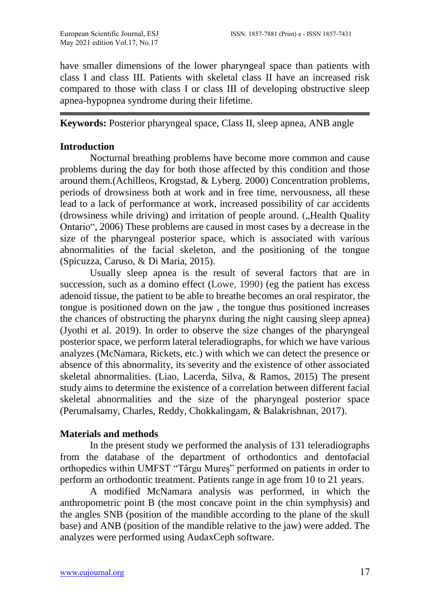have smaller dimensions of the lower pharyngeal space than patients with class I and class III. Patients with skeletal class II have an increased risk compared to those with class I or class III of developing obstructive sleep apnea-hypopnea syndrome during their lifetime.

**Keywords:** Posterior pharyngeal space, Class II, sleep apnea, ANB angle

# **Introduction**

Nocturnal breathing problems have become more common and cause problems during the day for both those affected by this condition and those around them.(Achilleos, Krogstad, & Lyberg. 2000) Concentration problems, periods of drowsiness both at work and in free time, nervousness, all these lead to a lack of performance at work, increased possibility of car accidents (drowsiness while driving) and irritation of people around. ("Health Quality Ontario", 2006) These problems are caused in most cases by a decrease in the size of the pharyngeal posterior space, which is associated with various abnormalities of the facial skeleton, and the positioning of the tongue (Spicuzza, Caruso, & Di Maria, 2015).

Usually sleep apnea is the result of several factors that are in succession, such as a domino effect (Lowe, 1990) (eg the patient has excess adenoid tissue, the patient to be able to breathe becomes an oral respirator, the tongue is positioned down on the jaw , the tongue thus positioned increases the chances of obstructing the pharynx during the night causing sleep apnea) (Jyothi et al. 2019). In order to observe the size changes of the pharyngeal posterior space, we perform lateral teleradiographs, for which we have various analyzes (McNamara, Rickets, etc.) with which we can detect the presence or absence of this abnormality, its severity and the existence of other associated skeletal abnormalities. (Liao, Lacerda, Silva, & Ramos, 2015) The present study aims to determine the existence of a correlation between different facial skeletal abnormalities and the size of the pharyngeal posterior space (Perumalsamy, Charles, Reddy, Chokkalingam, & Balakrishnan, 2017).

# **Materials and methods**

In the present study we performed the analysis of 131 teleradiographs from the database of the department of orthodontics and dentofacial orthopedics within UMFST "Târgu Mureș" performed on patients in order to perform an orthodontic treatment. Patients range in age from 10 to 21 years.

A modified McNamara analysis was performed, in which the anthropometric point B (the most concave point in the chin symphysis) and the angles SNB (position of the mandible according to the plane of the skull base) and ANB (position of the mandible relative to the jaw) were added. The analyzes were performed using AudaxCeph software.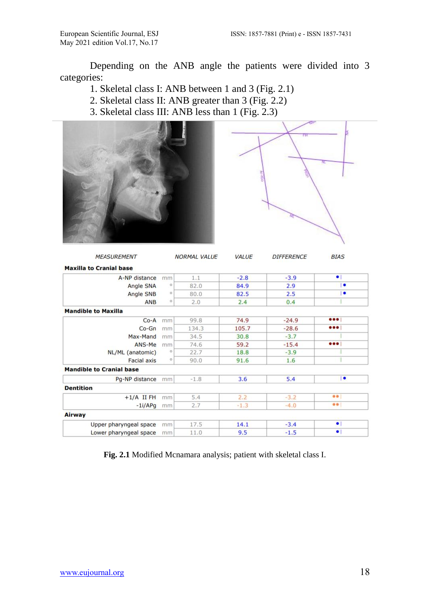Depending on the ANB angle the patients were divided into 3 categories:

- 1. Skeletal class I: ANB between 1 and 3 (Fig. 2.1)
- 2. Skeletal class II: ANB greater than 3 (Fig. 2.2)
- 3. Skeletal class III: ANB less than 1 (Fig. 2.3)





| <b>MEASUREMENT</b>              |                                   | <b>NORMAL VALUE</b> | VALUE  | <b>DIFFERENCE</b> | <b>BIAS</b>             |
|---------------------------------|-----------------------------------|---------------------|--------|-------------------|-------------------------|
| <b>Maxilla to Cranial base</b>  |                                   |                     |        |                   |                         |
| A-NP distance                   | mm                                | 1.1                 | $-2.8$ | $-3.9$            | $\bullet$               |
| Angle SNA                       | $^{\circ}$                        | 82.0                | 84.9   | 2.9               | ٠                       |
| Angle SNB                       | $\circ$                           | 80.0                | 82.5   | 2.5               | ٠                       |
| ANB                             | $\circ$                           | 2.0                 | 2.4    | 0.4               |                         |
| <b>Mandible to Maxilla</b>      |                                   |                     |        |                   |                         |
| $Co-A$                          | mm                                | 99.8                | 74.9   | $-24.9$           | $\bullet\bullet\bullet$ |
| $Co-Gn$                         | mm                                | 134.3               | 105.7  | $-28.6$           | $\bullet\bullet\bullet$ |
| Max-Mand                        | mm                                | 34.5                | 30.8   | $-3.7$            |                         |
| ANS-Me                          | mm                                | 74.6                | 59.2   | $-15.4$           | • • •                   |
| NL/ML (anatomic)                | $\circ$                           | 22.7                | 18.8   | $-3.9$            |                         |
| <b>Facial axis</b>              | $\mathsf{O}% _{n}\left( t\right)$ | 90.0                | 91.6   | 1.6               |                         |
| <b>Mandible to Cranial base</b> |                                   |                     |        |                   |                         |
| Pg-NP distance                  | mm                                | $-1.8$              | 3.6    | 5.4               | $\bullet$               |
| <b>Dentition</b>                |                                   |                     |        |                   |                         |
| $+1/A$ II FH                    | mm                                | 5.4                 | 2.2    | $-3.2$            | $\bullet$               |
| $-1i/APq$                       | mm                                | 2.7                 | $-1.3$ | $-4.0$            | $\bullet$               |
| Airway                          |                                   |                     |        |                   |                         |
| Upper pharyngeal space          | mm                                | 17.5                | 14.1   | $-3.4$            | $\bullet$               |
| Lower pharyngeal space          | mm                                | 11.0                | 9.5    | $-1.5$            | $\bullet$               |

**Fig. 2.1** Modified Mcnamara analysis; patient with skeletal class I.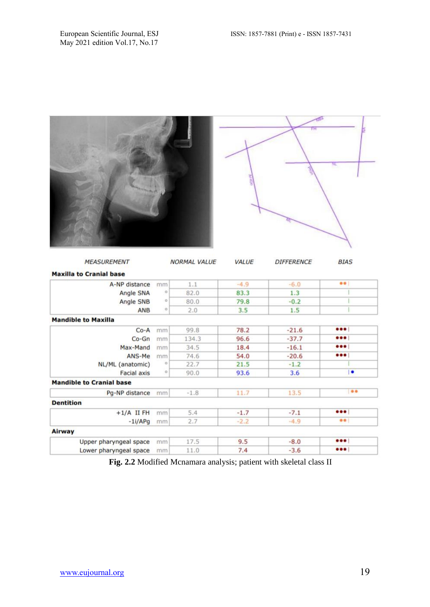| <b>MEASUREMENT</b>              |         | <b>NORMAL VALUE</b> | VALUE  | <b>DIFFERENCE</b> | <b>BIAS</b>                  |
|---------------------------------|---------|---------------------|--------|-------------------|------------------------------|
| <b>Maxilla to Cranial base</b>  |         |                     |        |                   |                              |
| A-NP distance                   | mm      | 1.1                 | $-4.9$ | $-6.0$            | $\bullet$                    |
| Angle SNA                       | $\circ$ | 82.0                | 83.3   | 1.3               |                              |
| Angle SNB                       | $\circ$ | 80.0                | 79.8   | $-0.2$            |                              |
| ANB                             | $\circ$ | 2.0                 | 3.5    | 1.5               |                              |
| <b>Mandible to Maxilla</b>      |         |                     |        |                   |                              |
| $Co-A$                          | mm      | 99.8                | 78.2   | $-21.6$           | $\bullet\bullet\bullet$      |
| $Co-Gn$                         | mm      | 134.3               | 96.6   | $-37.7$           | $\bullet\bullet\bullet$      |
| Max-Mand                        | mm      | 34.5                | 18.4   | $-16.1$           | $\bullet\bullet\bullet\; \;$ |
| ANS-Me                          | mm      | 74.6                | 54.0   | $-20.6$           | $\bullet\bullet\bullet$      |
| NL/ML (anatomic)                | $\circ$ | 22.7                | 21.5   | $-1.2$            |                              |
| <b>Facial axis</b>              | $\circ$ | 90.0                | 93.6   | 3.6               | $\overline{\phantom{a}}$     |
| <b>Mandible to Cranial base</b> |         |                     |        |                   |                              |
| Pg-NP distance                  | mm      | $-1.8$              | 11.7   | 13.5              | $\bullet$                    |
| <b>Dentition</b>                |         |                     |        |                   |                              |
| $+1/A$ II FH                    | mm      | 5.4                 | $-1.7$ | $-7.1$            | $\bullet\bullet\bullet$      |
| $-1i/APg$                       | mm      | 2.7                 | $-2.2$ | $-4.9$            | $\bullet\bullet$             |
| Airway                          |         |                     |        |                   |                              |
|                                 |         |                     | 9.5    | $-8.0$            | $\bullet\bullet\bullet$      |
| Upper pharyngeal space          | mm      | 17.5                |        |                   |                              |

**Fig. 2.2** Modified Mcnamara analysis; patient with skeletal class II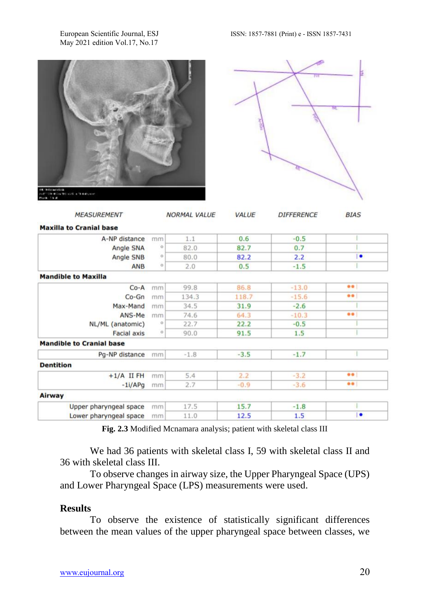May 2021 edition Vol.17, No.17

| a v                                                                                                                                |
|------------------------------------------------------------------------------------------------------------------------------------|
| kala mendelakan.<br>Lista menjada tersebut dan bermula menjada penderbangan menjada dan bermula menjada dan bermula dan bermula da |



|         | 1.1    | 0.6    | $-0.5$  |                   |
|---------|--------|--------|---------|-------------------|
| o       | 82.0   | 82.7   | 0.7     |                   |
| $\circ$ | 80.0   | 82.2   | 2.2     | ٠                 |
| $\circ$ | 2.0    | 0.5    | $-1.5$  |                   |
|         |        |        |         |                   |
| mm      | 99.8   | 86.8   | $-13.0$ | $\bullet \bullet$ |
| mm      | 134.3  | 118.7  | $-15.6$ | $\bullet\bullet$  |
| mm      | 34.5   | 31.9   | $-2.6$  |                   |
| mm      | 74.6   | 64.3   | $-10.3$ |                   |
| $\circ$ | 22.7   | 22.2   | $-0.5$  |                   |
| $\circ$ | 90.0   | 91.5   | 1.5     |                   |
|         |        |        |         |                   |
| mm      | $-1.8$ | $-3.5$ | $-1.7$  |                   |
|         |        |        |         |                   |
| mm      | 5.4    | 2.2    | $-3.2$  | $\bullet \bullet$ |
| mm      | 2.7    | $-0.9$ | $-3.6$  | $\bullet \bullet$ |
|         |        |        |         |                   |
| mm      | 17.5   | 15.7   | $-1.8$  |                   |
| mm      | 11.0   | 12.5   | 1.5     | ٠                 |
|         | mm     |        |         |                   |

**Fig. 2.3** Modified Mcnamara analysis; patient with skeletal class III

We had 36 patients with skeletal class I, 59 with skeletal class II and 36 with skeletal class III.

To observe changes in airway size, the Upper Pharyngeal Space (UPS) and Lower Pharyngeal Space (LPS) measurements were used.

### **Results**

To observe the existence of statistically significant differences between the mean values of the upper pharyngeal space between classes, we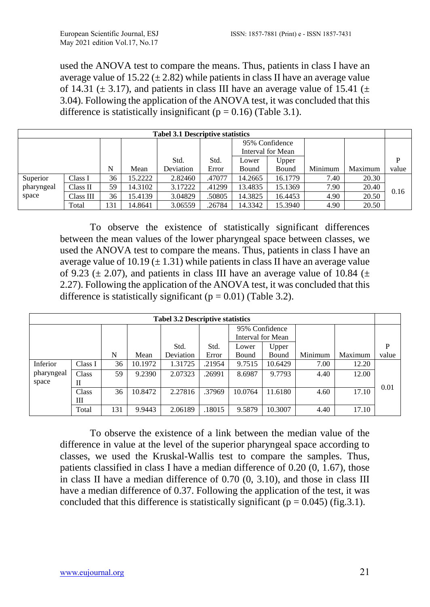used the ANOVA test to compare the means. Thus, patients in class I have an average value of 15.22 ( $\pm$  2.82) while patients in class II have an average value of 14.31 ( $\pm$  3.17), and patients in class III have an average value of 15.41 ( $\pm$ 3.04). Following the application of the ANOVA test, it was concluded that this difference is statistically insignificant ( $p = 0.16$ ) (Table 3.1).

| <b>Tabel 3.1 Descriptive statistics</b> |           |     |         |           |                |         |                   |         |         |       |
|-----------------------------------------|-----------|-----|---------|-----------|----------------|---------|-------------------|---------|---------|-------|
|                                         |           |     |         |           | 95% Confidence |         |                   |         |         |       |
|                                         |           |     |         |           |                |         | Interval for Mean |         |         |       |
|                                         |           |     |         | Std.      | Std.           | Lower   | Upper             |         |         | P     |
|                                         |           | N   | Mean    | Deviation | Error          | Bound   | Bound             | Minimum | Maximum | value |
| Superior                                | Class I   | 36  | 15.2222 | 2.82460   | .47077         | 14.2665 | 16.1779           | 7.40    | 20.30   |       |
| pharyngeal                              | Class II  | 59  | 14.3102 | 3.17222   | .41299         | 13.4835 | 15.1369           | 7.90    | 20.40   | 0.16  |
| space                                   | Class III | 36  | 15.4139 | 3.04829   | .50805         | 14.3825 | 16.4453           | 4.90    | 20.50   |       |
|                                         | Total     | 131 | 14.8641 | 3.06559   | .26784         | 14.3342 | 15.3940           | 4.90    | 20.50   |       |

To observe the existence of statistically significant differences between the mean values of the lower pharyngeal space between classes, we used the ANOVA test to compare the means. Thus, patients in class I have an average value of 10.19 ( $\pm$  1.31) while patients in class II have an average value of 9.23 ( $\pm$  2.07), and patients in class III have an average value of 10.84 ( $\pm$ 2.27). Following the application of the ANOVA test, it was concluded that this difference is statistically significant ( $p = 0.01$ ) (Table 3.2).

| <b>Tabel 3.2 Descriptive statistics</b> |         |     |         |           |        |                   |         |         |         |       |  |
|-----------------------------------------|---------|-----|---------|-----------|--------|-------------------|---------|---------|---------|-------|--|
|                                         |         |     |         |           |        | 95% Confidence    |         |         |         |       |  |
|                                         |         |     |         |           |        | Interval for Mean |         |         |         |       |  |
|                                         |         |     |         | Std.      | Std.   | Lower             | Upper   |         |         | P     |  |
|                                         |         | N   | Mean    | Deviation | Error  | Bound             | Bound   | Minimum | Maximum | value |  |
| Inferior                                | Class I | 36  | 10.1972 | 1.31725   | .21954 | 9.7515            | 10.6429 | 7.00    | 12.20   |       |  |
| pharyngeal                              | Class   | 59  | 9.2390  | 2.07323   | .26991 | 8.6987            | 9.7793  | 4.40    | 12.00   |       |  |
| space                                   | П       |     |         |           |        |                   |         |         |         |       |  |
|                                         | Class   | 36  | 10.8472 | 2.27816   | .37969 | 10.0764           | 11.6180 | 4.60    | 17.10   | 0.01  |  |
|                                         | Ш       |     |         |           |        |                   |         |         |         |       |  |
|                                         | Total   | 131 | 9.9443  | 2.06189   | .18015 | 9.5879            | 10.3007 | 4.40    | 17.10   |       |  |

To observe the existence of a link between the median value of the difference in value at the level of the superior pharyngeal space according to classes, we used the Kruskal-Wallis test to compare the samples. Thus, patients classified in class I have a median difference of 0.20 (0, 1.67), those in class II have a median difference of 0.70 (0, 3.10), and those in class III have a median difference of 0.37. Following the application of the test, it was concluded that this difference is statistically significant ( $p = 0.045$ ) (fig. 3.1).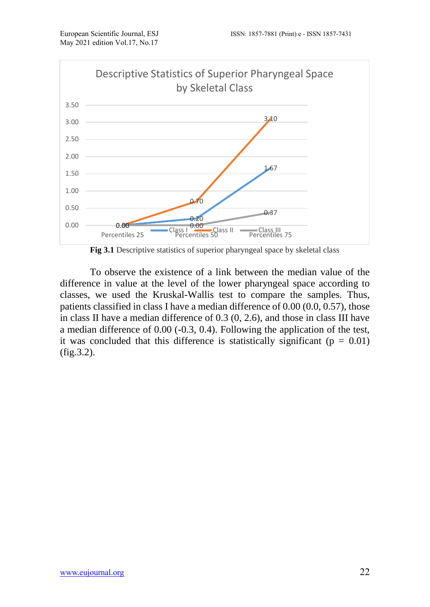

**Fig 3.1** Descriptive statistics of superior pharyngeal space by skeletal class

To observe the existence of a link between the median value of the difference in value at the level of the lower pharyngeal space according to classes, we used the Kruskal-Wallis test to compare the samples. Thus, patients classified in class I have a median difference of 0.00 (0.0, 0.57), those in class II have a median difference of 0.3 (0, 2.6), and those in class III have a median difference of 0.00 (-0.3, 0.4). Following the application of the test, it was concluded that this difference is statistically significant ( $p = 0.01$ ) (fig.3.2).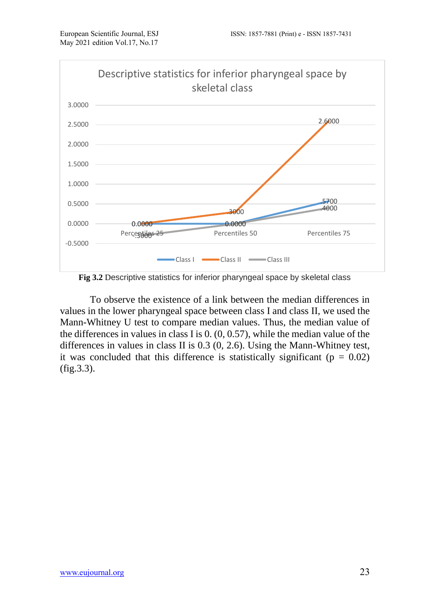

**Fig 3.2** Descriptive statistics for inferior pharyngeal space by skeletal class

To observe the existence of a link between the median differences in values in the lower pharyngeal space between class I and class II, we used the Mann-Whitney U test to compare median values. Thus, the median value of the differences in values in class I is 0. (0, 0.57), while the median value of the differences in values in class II is 0.3 (0, 2.6). Using the Mann-Whitney test, it was concluded that this difference is statistically significant ( $p = 0.02$ ) (fig.3.3).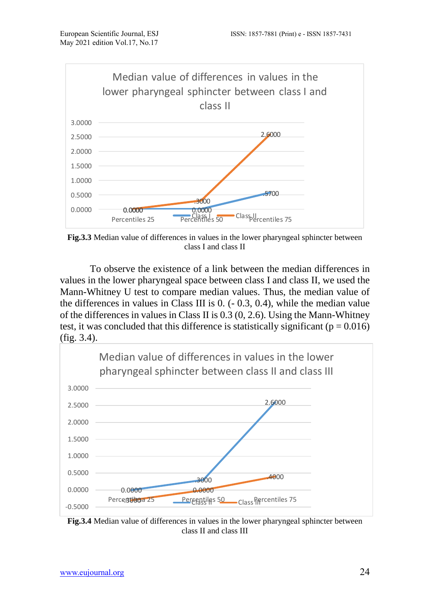

**Fig.3.3** Median value of differences in values in the lower pharyngeal sphincter between class I and class II

To observe the existence of a link between the median differences in values in the lower pharyngeal space between class I and class II, we used the Mann-Whitney U test to compare median values. Thus, the median value of the differences in values in Class III is 0. (- 0.3, 0.4), while the median value of the differences in values in Class II is 0.3 (0, 2.6). Using the Mann-Whitney test, it was concluded that this difference is statistically significant ( $p = 0.016$ ) (fig. 3.4).



**Fig.3.4** Median value of differences in values in the lower pharyngeal sphincter between class II and class III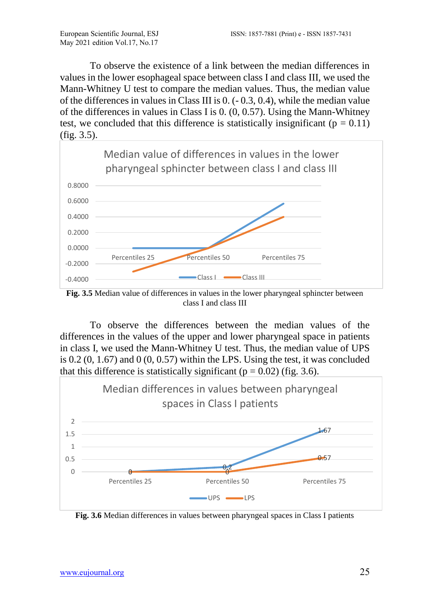To observe the existence of a link between the median differences in values in the lower esophageal space between class I and class III, we used the Mann-Whitney U test to compare the median values. Thus, the median value of the differences in values in Class III is 0. (- 0.3, 0.4), while the median value of the differences in values in Class I is 0. (0, 0.57). Using the Mann-Whitney test, we concluded that this difference is statistically insignificant ( $p = 0.11$ ) (fig. 3.5).



Fig. 3.5 Median value of differences in values in the lower pharyngeal sphincter between class I and class III

To observe the differences between the median values of the differences in the values of the upper and lower pharyngeal space in patients in class I, we used the Mann-Whitney U test. Thus, the median value of UPS is  $0.2$   $(0, 1.67)$  and  $(0, 0.57)$  within the LPS. Using the test, it was concluded that this difference is statistically significant ( $p = 0.02$ ) (fig. 3.6).



**Fig. 3.6** Median differences in values between pharyngeal spaces in Class I patients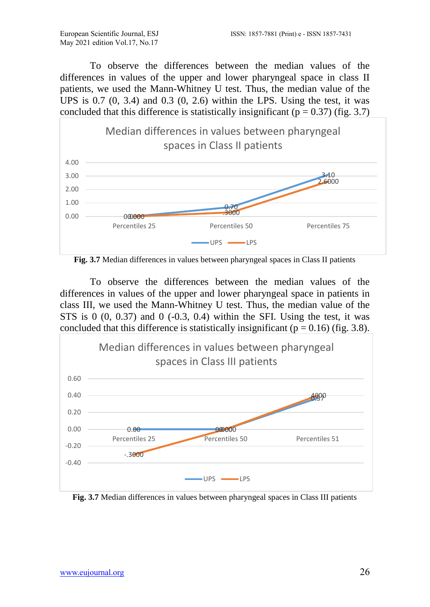To observe the differences between the median values of the differences in values of the upper and lower pharyngeal space in class II patients, we used the Mann-Whitney U test. Thus, the median value of the UPS is  $0.7$   $(0, 3.4)$  and  $0.3$   $(0, 2.6)$  within the LPS. Using the test, it was concluded that this difference is statistically insignificant ( $p = 0.37$ ) (fig. 3.7)



**Fig. 3.7** Median differences in values between pharyngeal spaces in Class II patients

To observe the differences between the median values of the differences in values of the upper and lower pharyngeal space in patients in class III, we used the Mann-Whitney U test. Thus, the median value of the STS is  $0(0, 0.37)$  and  $0(-0.3, 0.4)$  within the SFI. Using the test, it was concluded that this difference is statistically insignificant ( $p = 0.16$ ) (fig. 3.8).



**Fig. 3.7** Median differences in values between pharyngeal spaces in Class III patients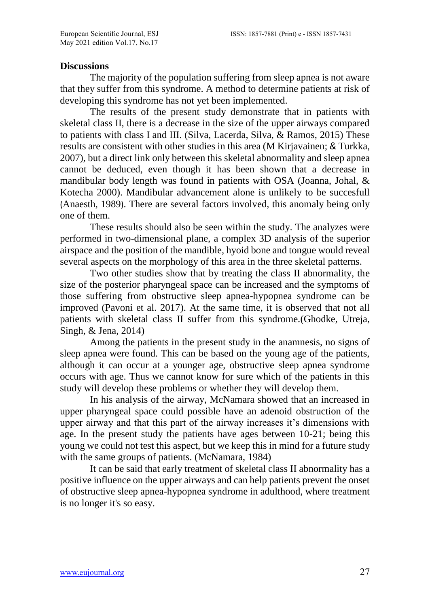#### **Discussions**

The majority of the population suffering from sleep apnea is not aware that they suffer from this syndrome. A method to determine patients at risk of developing this syndrome has not yet been implemented.

The results of the present study demonstrate that in patients with skeletal class II, there is a decrease in the size of the upper airways compared to patients with class I and III. (Silva, Lacerda, Silva, & Ramos, 2015) These results are consistent with other studies in this area (M Kirjavainen; & Turkka, 2007), but a direct link only between this skeletal abnormality and sleep apnea cannot be deduced, even though it has been shown that a decrease in mandibular body length was found in patients with OSA (Joanna, Johal, & Kotecha 2000). Mandibular advancement alone is unlikely to be succesfull (Anaesth, 1989). There are several factors involved, this anomaly being only one of them.

These results should also be seen within the study. The analyzes were performed in two-dimensional plane, a complex 3D analysis of the superior airspace and the position of the mandible, hyoid bone and tongue would reveal several aspects on the morphology of this area in the three skeletal patterns.

Two other studies show that by treating the class II abnormality, the size of the posterior pharyngeal space can be increased and the symptoms of those suffering from obstructive sleep apnea-hypopnea syndrome can be improved (Pavoni et al. 2017). At the same time, it is observed that not all patients with skeletal class II suffer from this syndrome.(Ghodke, Utreja, Singh, & Jena, 2014)

Among the patients in the present study in the anamnesis, no signs of sleep apnea were found. This can be based on the young age of the patients, although it can occur at a younger age, obstructive sleep apnea syndrome occurs with age. Thus we cannot know for sure which of the patients in this study will develop these problems or whether they will develop them.

In his analysis of the airway, McNamara showed that an increased in upper pharyngeal space could possible have an adenoid obstruction of the upper airway and that this part of the airway increases it's dimensions with age. In the present study the patients have ages between 10-21; being this young we could not test this aspect, but we keep this in mind for a future study with the same groups of patients. (McNamara, 1984)

It can be said that early treatment of skeletal class II abnormality has a positive influence on the upper airways and can help patients prevent the onset of obstructive sleep apnea-hypopnea syndrome in adulthood, where treatment is no longer it's so easy.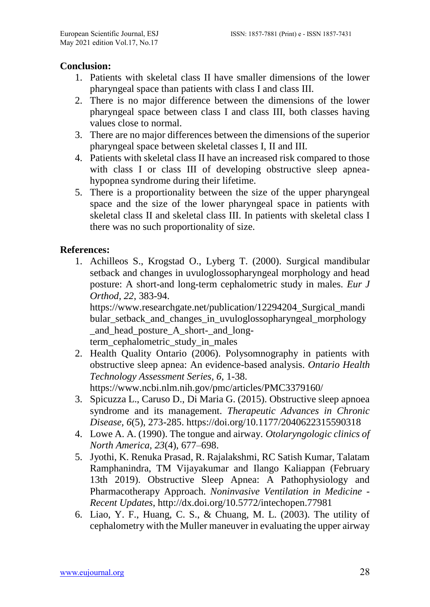## **Conclusion:**

- 1. Patients with skeletal class II have smaller dimensions of the lower pharyngeal space than patients with class I and class III.
- 2. There is no major difference between the dimensions of the lower pharyngeal space between class I and class III, both classes having values close to normal.
- 3. There are no major differences between the dimensions of the superior pharyngeal space between skeletal classes I, II and III.
- 4. Patients with skeletal class II have an increased risk compared to those with class I or class III of developing obstructive sleep apneahypopnea syndrome during their lifetime.
- 5. There is a proportionality between the size of the upper pharyngeal space and the size of the lower pharyngeal space in patients with skeletal class II and skeletal class III. In patients with skeletal class I there was no such proportionality of size.

# **References:**

1. Achilleos S., Krogstad O., Lyberg T. (2000). Surgical mandibular setback and changes in uvuloglossopharyngeal morphology and head posture: A short-and long-term cephalometric study in males. *Eur J Orthod, 22*, 383-94.

[https://www.researchgate.net/publication/12294204\\_Surgical\\_mandi](https://www.researchgate.net/publication/12294204_Surgical_mandibular_setback_and_changes_in_uvuloglossopharyngeal_morphology_and_head_posture_A_short-_and_long-term_cephalometric_study_in_males) [bular\\_setback\\_and\\_changes\\_in\\_uvuloglossopharyngeal\\_morphology](https://www.researchgate.net/publication/12294204_Surgical_mandibular_setback_and_changes_in_uvuloglossopharyngeal_morphology_and_head_posture_A_short-_and_long-term_cephalometric_study_in_males) [\\_and\\_head\\_posture\\_A\\_short-\\_and\\_long-](https://www.researchgate.net/publication/12294204_Surgical_mandibular_setback_and_changes_in_uvuloglossopharyngeal_morphology_and_head_posture_A_short-_and_long-term_cephalometric_study_in_males)

[term\\_cephalometric\\_study\\_in\\_males](https://www.researchgate.net/publication/12294204_Surgical_mandibular_setback_and_changes_in_uvuloglossopharyngeal_morphology_and_head_posture_A_short-_and_long-term_cephalometric_study_in_males)

- 2. Health Quality Ontario (2006). Polysomnography in patients with obstructive sleep apnea: An evidence-based analysis. *Ontario Health Technology Assessment Series, 6*, 1-38. <https://www.ncbi.nlm.nih.gov/pmc/articles/PMC3379160/>
- 3. Spicuzza L., Caruso D., Di Maria G. (2015). Obstructive sleep apnoea syndrome and its management. *Therapeutic Advances in Chronic Disease, 6*(5), 273-285.<https://doi.org/10.1177/2040622315590318>
- 4. Lowe A. A. (1990). The tongue and airway. *Otolaryngologic clinics of North America*, *23*(4), 677–698.
- 5. Jyothi, K. Renuka Prasad, R. Rajalakshmi, RC Satish Kumar, Talatam Ramphanindra, TM Vijayakumar and Ilango Kaliappan (February 13th 2019). Obstructive Sleep Apnea: A Pathophysiology and Pharmacotherapy Approach. *Noninvasive Ventilation in Medicine - Recent Updates*,<http://dx.doi.org/10.5772/intechopen.77981>
- 6. Liao, Y. F., Huang, C. S., & Chuang, M. L. (2003). The utility of cephalometry with the Muller maneuver in evaluating the upper airway